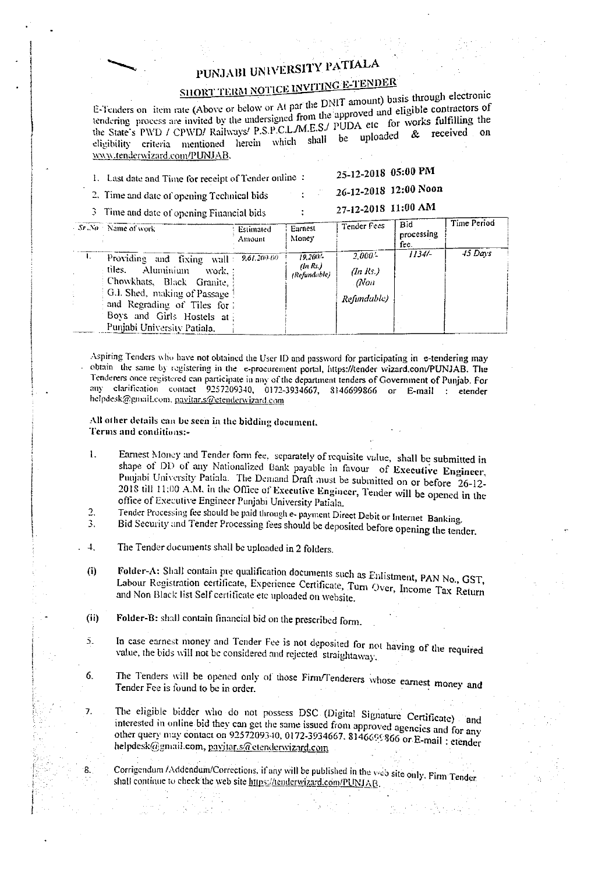## PUNJABI UNIVERSITY PATIALA

## SHORT TERM NOTICE INVITING E-TENDER

E-Tenders on item rate (Above or below or At par the DNIT amount) basis through electronic tendering process are invited by the undersigned from the approved and eligible contractors of the State's PWD / CPWD/ Railways/ P.S.P.C.L./M.E.S./ PUDA etc for works fulfilling the eligibility criteria mentioned herein which shall be uploaded & received on www.tenderwizard.com/PUNJAB.

1. Last date and Time for receipt of Tender online :

25-12-2018 05:00 PM 26-12-2018 12:00 Noon

2. Time and date of opening Technical bids

27-12-2018 11:00 AM

3 Time and date of opening Financial bids

|    | $-Sr.\Delta\theta$ Name of work                                                                                                                                                                                                  | Estimated<br>Amount | Earnest<br>Money                       | <b>Tender</b> Fees                                 | <b>Bid</b><br>processing<br>fee. | Time Period |
|----|----------------------------------------------------------------------------------------------------------------------------------------------------------------------------------------------------------------------------------|---------------------|----------------------------------------|----------------------------------------------------|----------------------------------|-------------|
| Т. | Providing and fixing wall: 9,61,200-00<br>iles.<br>Aluminium<br>work. :<br>Chowkhats, Black Granite,<br>G.J. Shed, making of Passage 1<br>and Regrading of Tiles for<br>Boys and Girls Hostels at<br>Punjabi University Patiala. |                     | $19.200 -$<br>(In Rs.)<br>(Refundable) | $2.000 -$<br>$(n$ Rs.)<br>$. A$ Oil<br>Refundable) | 1134/                            | $45$ Days   |

Aspiring Tenders who have not obtained the User ID and password for participating in e-tendering may obtain the same by registering in the e-procurement portal, https://tender wizard.com/PUNJAB. The Tenderers once registered can participate in any of the department tenders of Government of Punjab. For any clarification contact 9257209340, 0172-3934667, 8146699866 or E-mail : etender helpdesk@gmail.com. pavitar.s@etenderwizard.com

## All other details can be seen in the bidding document. Terms and conditions:-

- Earnest Money and Tender form fee, separately of requisite value, shall be submitted in 1. shape of DD of any Nationalized Bank payable in favour of Executive Engineer, Punjabi University Patiala. The Demand Draft must be submitted on or before 26-12-2018 till 11:00 A.M. in the Office of Executive Engineer, Tender will be opened in the office of Executive Engineer Punjabi University Patiala.
- Tender Processing fee should be paid through e- payment Direct Debit or Internet Banking. 2. 3.
- Bid Security and Tender Processing fees should be deposited before opening the tender.
- The Tender documents shall be uploaded in 2 folders.  $\overline{4}$ .
- Folder-A: Shall contain pre qualification documents such as Enlistment, PAN No., GST,  $(i)$ Labour Registration certificate, Experience Certificate, Turn Over, Income Tax Return and Non Black list Self certificate etc uploaded on website.
- Folder-B: shall contain financial bid on the prescribed form.  $(i)$

7.

8.

- In case earnest money and Tender Fee is not deposited for not having of the required  $\overline{5}$ . value, the bids will not be considered and rejected straightaway.
- The Tenders will be opened only of those Firm/Tenderers whose earnest money and 6. Tender Fee is found to be in order.

The eligible bidder who do not possess DSC (Digital Signature Certificate) and interested in online bid they can get the same issued from approved agencies and for any other query may contact on 9257209340, 0172-3934667, 8146699866 or E-mail: etender helpdesk@gmail.com, pavitar.s@etenderwizard.com

Corrigendum /Addendum/Corrections, if any will be published in the veb site only. Firm Tender shall continue to check the web site https://tenderwizard.com/PUNJAB.